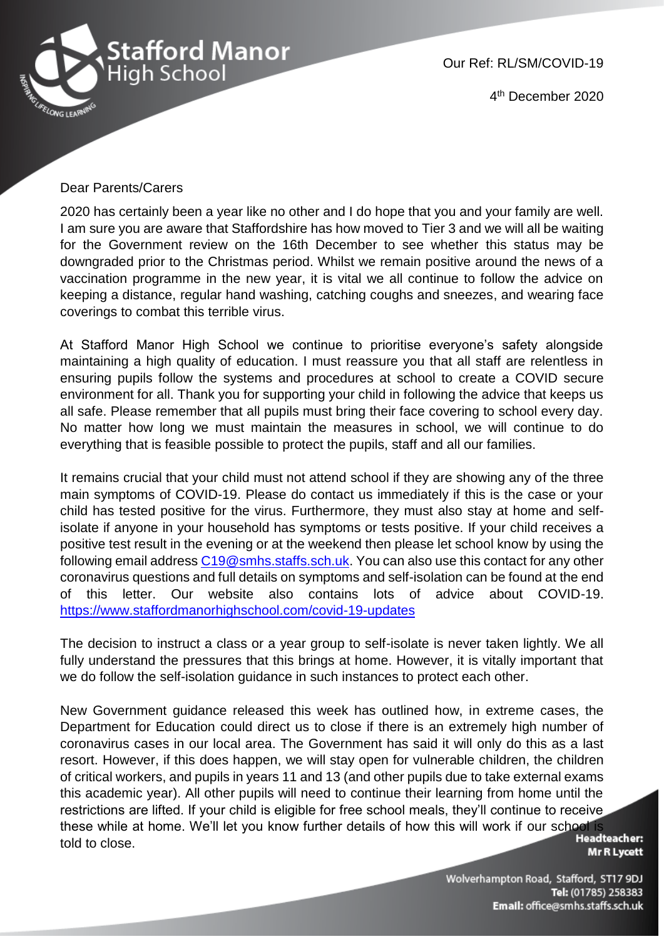

Our Ref: RL/SM/COVID-19

4 th December 2020

#### Dear Parents/Carers

2020 has certainly been a year like no other and I do hope that you and your family are well. I am sure you are aware that Staffordshire has how moved to Tier 3 and we will all be waiting for the Government review on the 16th December to see whether this status may be downgraded prior to the Christmas period. Whilst we remain positive around the news of a vaccination programme in the new year, it is vital we all continue to follow the advice on keeping a distance, regular hand washing, catching coughs and sneezes, and wearing face coverings to combat this terrible virus.

At Stafford Manor High School we continue to prioritise everyone's safety alongside maintaining a high quality of education. I must reassure you that all staff are relentless in ensuring pupils follow the systems and procedures at school to create a COVID secure environment for all. Thank you for supporting your child in following the advice that keeps us all safe. Please remember that all pupils must bring their face covering to school every day. No matter how long we must maintain the measures in school, we will continue to do everything that is feasible possible to protect the pupils, staff and all our families.

It remains crucial that your child must not attend school if they are showing any of the three main symptoms of COVID-19. Please do contact us immediately if this is the case or your child has tested positive for the virus. Furthermore, they must also stay at home and selfisolate if anyone in your household has symptoms or tests positive. If your child receives a positive test result in the evening or at the weekend then please let school know by using the following email address [C19@smhs.staffs.sch.uk.](mailto:C19@smhs.staffs.sch.uk) You can also use this contact for any other coronavirus questions and full details on symptoms and self-isolation can be found at the end of this letter. Our website also contains lots of advice about COVID-19. <https://www.staffordmanorhighschool.com/covid-19-updates>

The decision to instruct a class or a year group to self-isolate is never taken lightly. We all fully understand the pressures that this brings at home. However, it is vitally important that we do follow the self-isolation guidance in such instances to protect each other.

New Government guidance released this week has outlined how, in extreme cases, the Department for Education could direct us to close if there is an extremely high number of coronavirus cases in our local area. The Government has said it will only do this as a last resort. However, if this does happen, we will stay open for vulnerable children, the children of critical workers, and pupils in years 11 and 13 (and other pupils due to take external exams this academic year). All other pupils will need to continue their learning from home until the restrictions are lifted. If your child is eligible for free school meals, they'll continue to receive these while at home. We'll let you know further details of how this will work if our school is<br>told to close told to close.

**Mr R Lycett**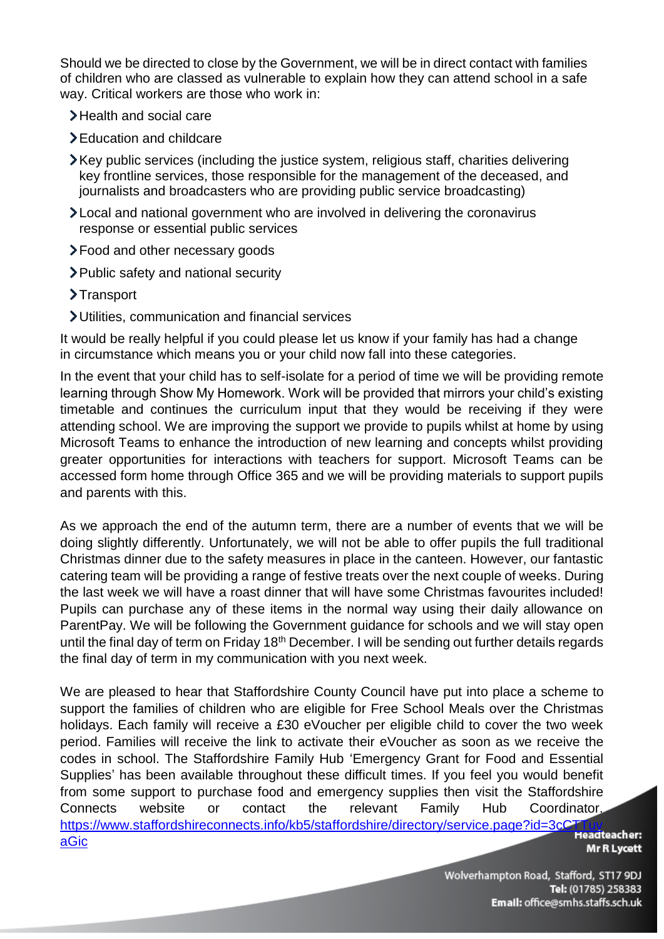Should we be directed to close by the Government, we will be in direct contact with families of children who are classed as vulnerable to explain how they can attend school in a safe way. Critical workers are those who work in:

- >Health and social care
- > Education and childcare
- Key public services (including the justice system, religious staff, charities delivering key frontline services, those responsible for the management of the deceased, and journalists and broadcasters who are providing public service broadcasting)
- Local and national government who are involved in delivering the coronavirus response or essential public services
- Food and other necessary goods
- Public safety and national security
- >Transport
- Utilities, communication and financial services

It would be really helpful if you could please let us know if your family has had a change in circumstance which means you or your child now fall into these categories.

In the event that your child has to self-isolate for a period of time we will be providing remote learning through Show My Homework. Work will be provided that mirrors your child's existing timetable and continues the curriculum input that they would be receiving if they were attending school. We are improving the support we provide to pupils whilst at home by using Microsoft Teams to enhance the introduction of new learning and concepts whilst providing greater opportunities for interactions with teachers for support. Microsoft Teams can be accessed form home through Office 365 and we will be providing materials to support pupils and parents with this.

As we approach the end of the autumn term, there are a number of events that we will be doing slightly differently. Unfortunately, we will not be able to offer pupils the full traditional Christmas dinner due to the safety measures in place in the canteen. However, our fantastic catering team will be providing a range of festive treats over the next couple of weeks. During the last week we will have a roast dinner that will have some Christmas favourites included! Pupils can purchase any of these items in the normal way using their daily allowance on ParentPay. We will be following the Government guidance for schools and we will stay open until the final day of term on Friday 18<sup>th</sup> December. I will be sending out further details regards the final day of term in my communication with you next week.

We are pleased to hear that Staffordshire County Council have put into place a scheme to support the families of children who are eligible for Free School Meals over the Christmas holidays. Each family will receive a £30 eVoucher per eligible child to cover the two week period. Families will receive the link to activate their eVoucher as soon as we receive the codes in school. The Staffordshire Family Hub 'Emergency Grant for Food and Essential Supplies' has been available throughout these difficult times. If you feel you would benefit from some support to purchase food and emergency supplies then visit the Staffordshire Connects website or contact the relevant Family Hub Coordinator. [https://www.staffordshireconnects.info/kb5/staffordshire/directory/service.page?id=3cCTTuv](https://www.staffordshireconnects.info/kb5/staffordshire/directory/service.page?id=3cCTTuvaGic)<br>Ci [aGic](https://www.staffordshireconnects.info/kb5/staffordshire/directory/service.page?id=3cCTTuvaGic)

**Mr R Lycett**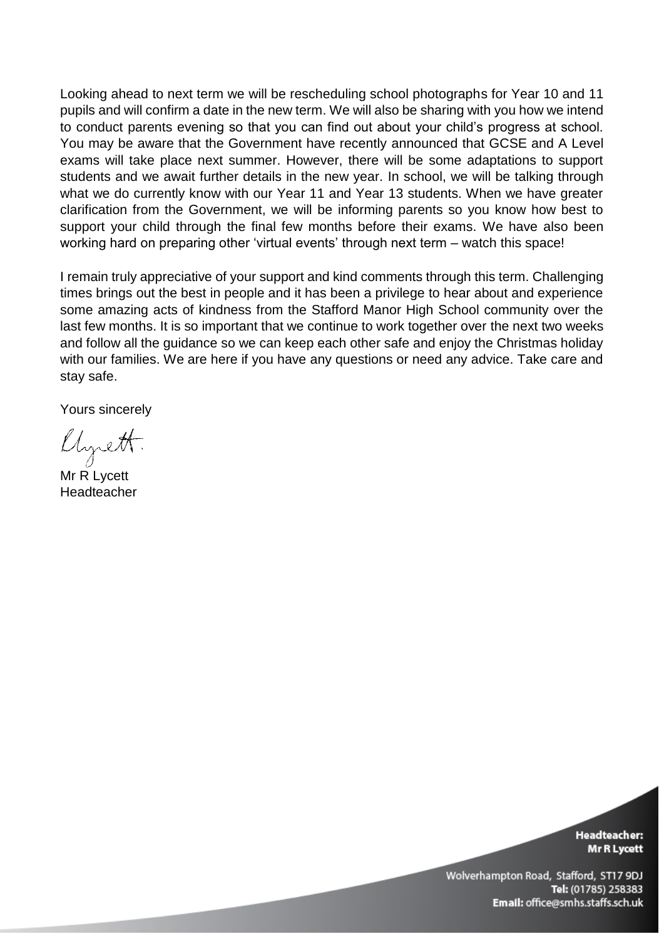Looking ahead to next term we will be rescheduling school photographs for Year 10 and 11 pupils and will confirm a date in the new term. We will also be sharing with you how we intend to conduct parents evening so that you can find out about your child's progress at school. You may be aware that the Government have recently announced that GCSE and A Level exams will take place next summer. However, there will be some adaptations to support students and we await further details in the new year. In school, we will be talking through what we do currently know with our Year 11 and Year 13 students. When we have greater clarification from the Government, we will be informing parents so you know how best to support your child through the final few months before their exams. We have also been working hard on preparing other 'virtual events' through next term – watch this space!

I remain truly appreciative of your support and kind comments through this term. Challenging times brings out the best in people and it has been a privilege to hear about and experience some amazing acts of kindness from the Stafford Manor High School community over the last few months. It is so important that we continue to work together over the next two weeks and follow all the guidance so we can keep each other safe and enjoy the Christmas holiday with our families. We are here if you have any questions or need any advice. Take care and stay safe.

Yours sincerely

llysett.

Mr R Lycett Headteacher

**Headteacher:** Mr R Lycett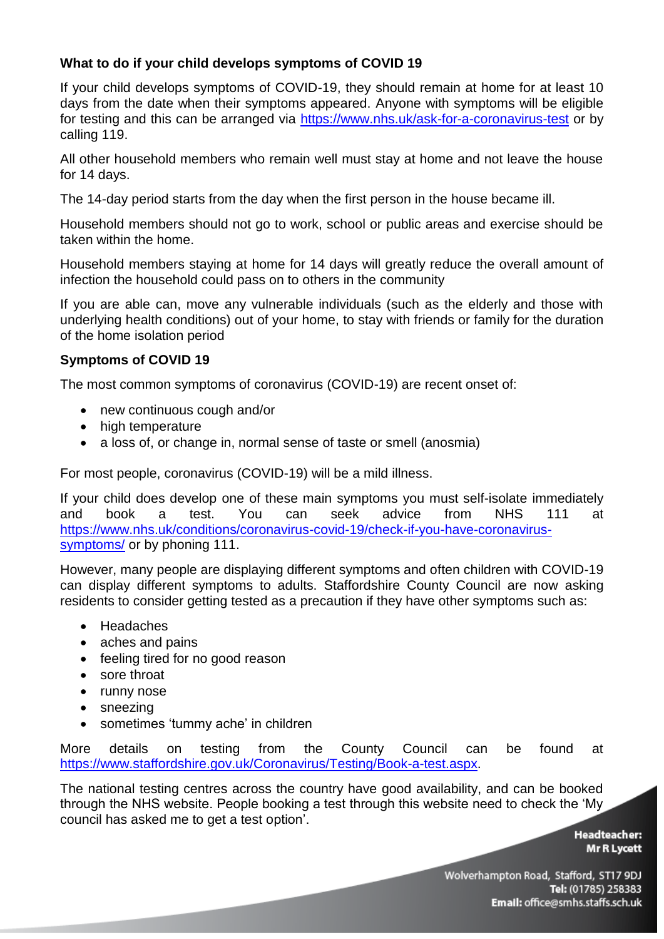# **What to do if your child develops symptoms of COVID 19**

If your child develops symptoms of COVID-19, they should remain at home for at least 10 days from the date when their symptoms appeared. Anyone with symptoms will be eligible for testing and this can be arranged via<https://www.nhs.uk/ask-for-a-coronavirus-test> or by calling 119.

All other household members who remain well must stay at home and not leave the house for 14 days.

The 14-day period starts from the day when the first person in the house became ill.

Household members should not go to work, school or public areas and exercise should be taken within the home.

Household members staying at home for 14 days will greatly reduce the overall amount of infection the household could pass on to others in the community

If you are able can, move any vulnerable individuals (such as the elderly and those with underlying health conditions) out of your home, to stay with friends or family for the duration of the home isolation period

## **Symptoms of COVID 19**

The most common symptoms of coronavirus (COVID-19) are recent onset of:

- new continuous cough and/or
- high temperature
- a loss of, or change in, normal sense of taste or smell (anosmia)

For most people, coronavirus (COVID-19) will be a mild illness.

If your child does develop one of these main symptoms you must self-isolate immediately and book a test. You can seek advice from NHS 111 at [https://www.nhs.uk/conditions/coronavirus-covid-19/check-if-you-have-coronavirus](https://www.nhs.uk/conditions/coronavirus-covid-19/check-if-you-have-coronavirus-symptoms/)[symptoms/](https://www.nhs.uk/conditions/coronavirus-covid-19/check-if-you-have-coronavirus-symptoms/) or by phoning 111.

However, many people are displaying different symptoms and often children with COVID-19 can display different symptoms to adults. Staffordshire County Council are now asking residents to consider getting tested as a precaution if they have other symptoms such as:

- Headaches
- aches and pains
- feeling tired for no good reason
- sore throat
- runny nose
- sneezing
- sometimes 'tummy ache' in children

More details on testing from the County Council can be found at [https://www.staffordshire.gov.uk/Coronavirus/Testing/Book-a-test.aspx.](https://www.staffordshire.gov.uk/Coronavirus/Testing/Book-a-test.aspx)

The national testing centres across the country have good availability, and can be booked through the NHS website. People booking a test through this website need to check the 'My council has asked me to get a test option'.

**Headteacher: Mr R Lycett**